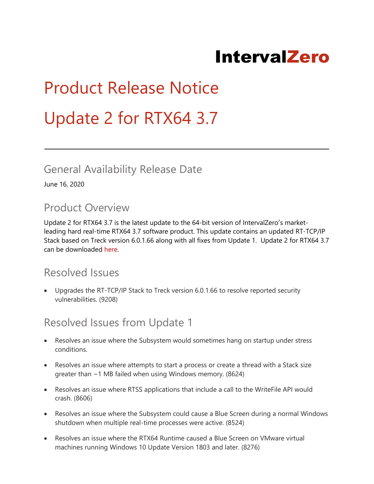# IntervalZero

# Product Release Notice Update 2 for RTX64 3.7

#### General Availability Release Date

June 16, 2020

#### Product Overview

Update 2 for RTX64 3.7 is the latest update to the 64-bit version of IntervalZero′s marketleading hard real-time RTX64 3.7 software product. This update contains an updated RT-TCP/IP Stack based on Treck version 6.0.1.66 along with all fixes from Update 1. Update 2 for RTX64 3.7 can be downloaded [here.](http://www.intervalzero.com/rtx-downloads/rtx64-downloads/rtx64-3.0-downloads/)

#### Resolved Issues

 Upgrades the RT-TCP/IP Stack to Treck version 6.0.1.66 to resolve reported security vulnerabilities. (9208)

#### Resolved Issues from Update 1

- Resolves an issue where the Subsystem would sometimes hang on startup under stress conditions.
- Resolves an issue where attempts to start a process or create a thread with a Stack size greater than ~1 MB failed when using Windows memory. (8624)
- Resolves an issue where RTSS applications that include a call to the WriteFile API would crash. (8606)
- Resolves an issue where the Subsystem could cause a Blue Screen during a normal Windows shutdown when multiple real-time processes were active. (8524)
- Resolves an issue where the RTX64 Runtime caused a Blue Screen on VMware virtual machines running Windows 10 Update Version 1803 and later. (8276)